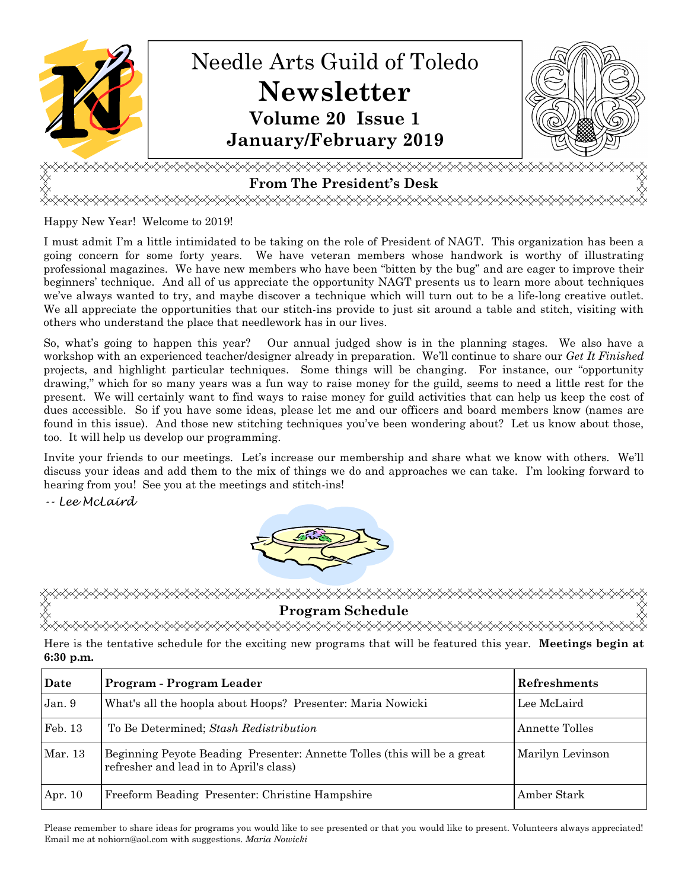

Happy New Year! Welcome to 2019!

I must admit I'm a little intimidated to be taking on the role of President of NAGT. This organization has been a going concern for some forty years. We have veteran members whose handwork is worthy of illustrating professional magazines. We have new members who have been "bitten by the bug" and are eager to improve their beginners' technique. And all of us appreciate the opportunity NAGT presents us to learn more about techniques we've always wanted to try, and maybe discover a technique which will turn out to be a life-long creative outlet. We all appreciate the opportunities that our stitch-ins provide to just sit around a table and stitch, visiting with others who understand the place that needlework has in our lives.

So, what's going to happen this year? Our annual judged show is in the planning stages. We also have a workshop with an experienced teacher/designer already in preparation. We'll continue to share our *Get It Finished*  projects, and highlight particular techniques. Some things will be changing. For instance, our "opportunity drawing," which for so many years was a fun way to raise money for the guild, seems to need a little rest for the present. We will certainly want to find ways to raise money for guild activities that can help us keep the cost of dues accessible. So if you have some ideas, please let me and our officers and board members know (names are found in this issue). And those new stitching techniques you've been wondering about? Let us know about those, too. It will help us develop our programming.

Invite your friends to our meetings. Let's increase our membership and share what we know with others. We'll discuss your ideas and add them to the mix of things we do and approaches we can take. I'm looking forward to hearing from you! See you at the meetings and stitch-ins!

-- Lee McLaird



Program Schedule<br>◇◇◇◇◇◇◇◇◇◇◇◇◇◇◇◇◇◇◇◇◇◇

Here is the tentative schedule for the exciting new programs that will be featured this year. **Meetings begin at 6:30 p.m.**

| Date    | Program - Program Leader                                                                                            | Refreshments     |
|---------|---------------------------------------------------------------------------------------------------------------------|------------------|
| Jan. 9  | What's all the hoopla about Hoops? Presenter: Maria Nowicki                                                         | Lee McLaird      |
| Feb. 13 | To Be Determined; Stash Redistribution                                                                              | Annette Tolles   |
| Mar. 13 | Beginning Peyote Beading Presenter: Annette Tolles (this will be a great<br>refresher and lead in to April's class) | Marilyn Levinson |
| Apr. 10 | Freeform Beading Presenter: Christine Hampshire                                                                     | Amber Stark      |

Please remember to share ideas for programs you would like to see presented or that you would like to present. Volunteers always appreciated! Email me at nohiorn@aol.com with suggestions. *Maria Nowicki*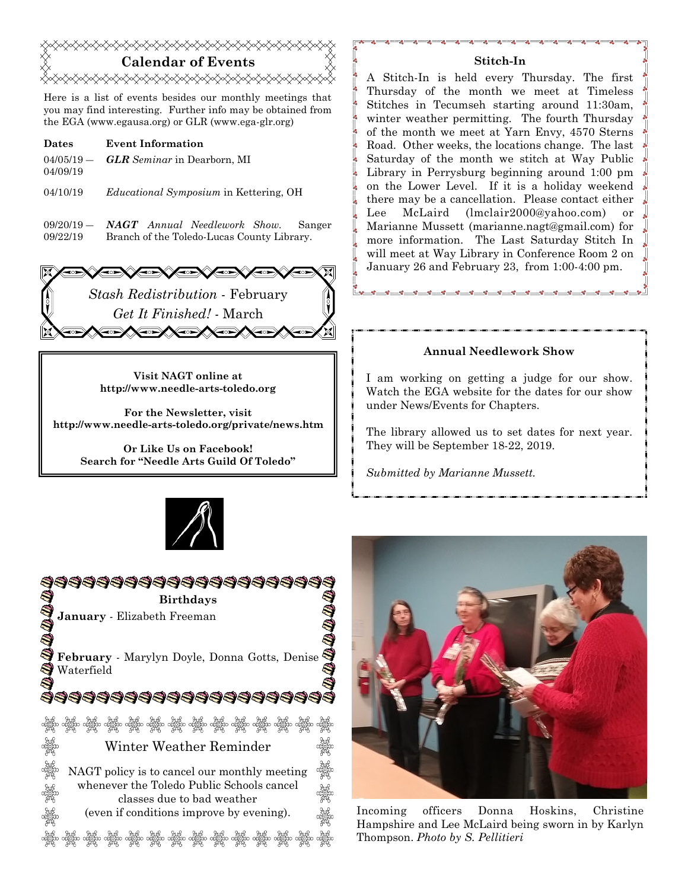# **Calendar of Events**  <del></del>

Here is a list of events besides our monthly meetings that you may find interesting. Further info may be obtained from the EGA (www.egausa.org) or GLR (www.ega-glr.org)

- **Dates Event Information**   $04/05/19 -$ 04/09/19 *GLR Seminar* in Dearborn, MI
- 04/10/19 *Educational Symposium* in Kettering, OH
- $09/20/19$  09/22/19 *NAGT Annual Needlework Show.* Sanger Branch of the Toledo-Lucas County Library.



**Visit NAGT online at http://www.needle-arts-toledo.org** 

**For the Newsletter, visit http://www.needle-arts-toledo.org/private/news.htm** 

> **Or Like Us on Facebook! Search for "Needle Arts Guild Of Toledo"**





## **Stitch-In**

A Stitch-In is held every Thursday. The first Thursday of the month we meet at Timeless Stitches in Tecumseh starting around 11:30am, winter weather permitting. The fourth Thursday of the month we meet at Yarn Envy, 4570 Sterns Road. Other weeks, the locations change. The last Saturday of the month we stitch at Way Public Library in Perrysburg beginning around 1:00 pm on the Lower Level. If it is a holiday weekend there may be a cancellation. Please contact either Lee McLaird (lmclair2000@yahoo.com) or Marianne Mussett (marianne.nagt@gmail.com) for more information. The Last Saturday Stitch In will meet at Way Library in Conference Room 2 on January 26 and February 23, from 1:00-4:00 pm.

## **Annual Needlework Show**

I am working on getting a judge for our show. Watch the EGA website for the dates for our show under News/Events for Chapters.

The library allowed us to set dates for next year. They will be September 18-22, 2019.

*Submitted by Marianne Mussett.* 



Incoming officers Donna Hoskins, Christine Hampshire and Lee McLaird being sworn in by Karlyn Thompson. *Photo by S. Pellitieri*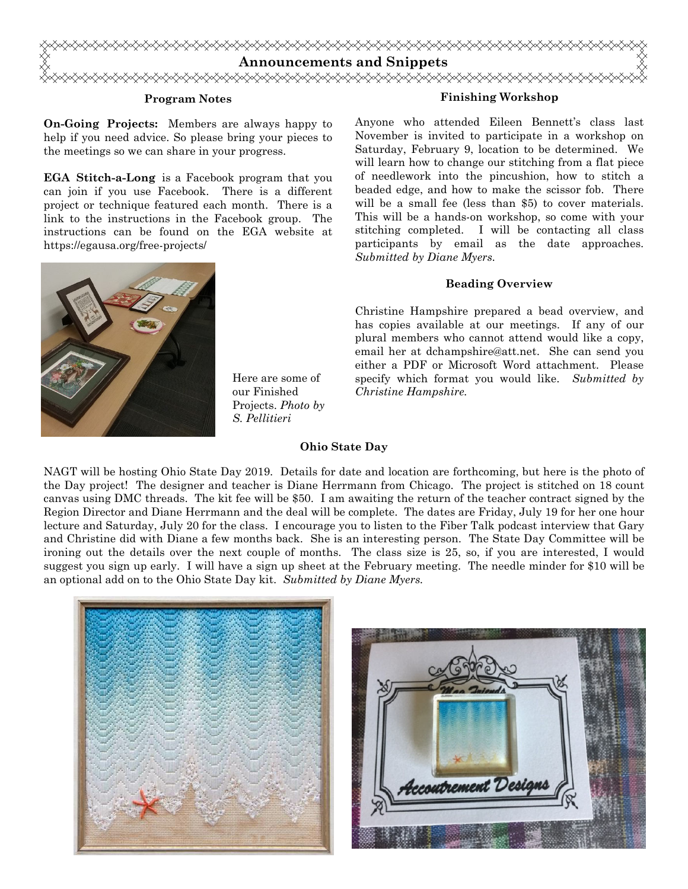

#### **Program Notes**

**On-Going Projects:** Members are always happy to help if you need advice. So please bring your pieces to the meetings so we can share in your progress.

**EGA Stitch-a-Long** is a Facebook program that you can join if you use Facebook. There is a different project or technique featured each month. There is a link to the instructions in the Facebook group. The instructions can be found on the EGA website at https://egausa.org/free-projects/



Here are some of our Finished Projects. *Photo by S. Pellitieri*

#### **Finishing Workshop**

Anyone who attended Eileen Bennett's class last November is invited to participate in a workshop on Saturday, February 9, location to be determined. We will learn how to change our stitching from a flat piece of needlework into the pincushion, how to stitch a beaded edge, and how to make the scissor fob. There will be a small fee (less than \$5) to cover materials. This will be a hands-on workshop, so come with your stitching completed. I will be contacting all class participants by email as the date approaches. *Submitted by Diane Myers.* 

#### **Beading Overview**

Christine Hampshire prepared a bead overview, and has copies available at our meetings. If any of our plural members who cannot attend would like a copy, email her at dchampshire@att.net. She can send you either a PDF or Microsoft Word attachment. Please specify which format you would like. *Submitted by Christine Hampshire.* 

#### **Ohio State Day**

NAGT will be hosting Ohio State Day 2019. Details for date and location are forthcoming, but here is the photo of the Day project! The designer and teacher is Diane Herrmann from Chicago. The project is stitched on 18 count canvas using DMC threads. The kit fee will be \$50. I am awaiting the return of the teacher contract signed by the Region Director and Diane Herrmann and the deal will be complete. The dates are Friday, July 19 for her one hour lecture and Saturday, July 20 for the class. I encourage you to listen to the Fiber Talk podcast interview that Gary and Christine did with Diane a few months back. She is an interesting person. The State Day Committee will be ironing out the details over the next couple of months. The class size is 25, so, if you are interested, I would suggest you sign up early. I will have a sign up sheet at the February meeting. The needle minder for \$10 will be an optional add on to the Ohio State Day kit. *Submitted by Diane Myers.*



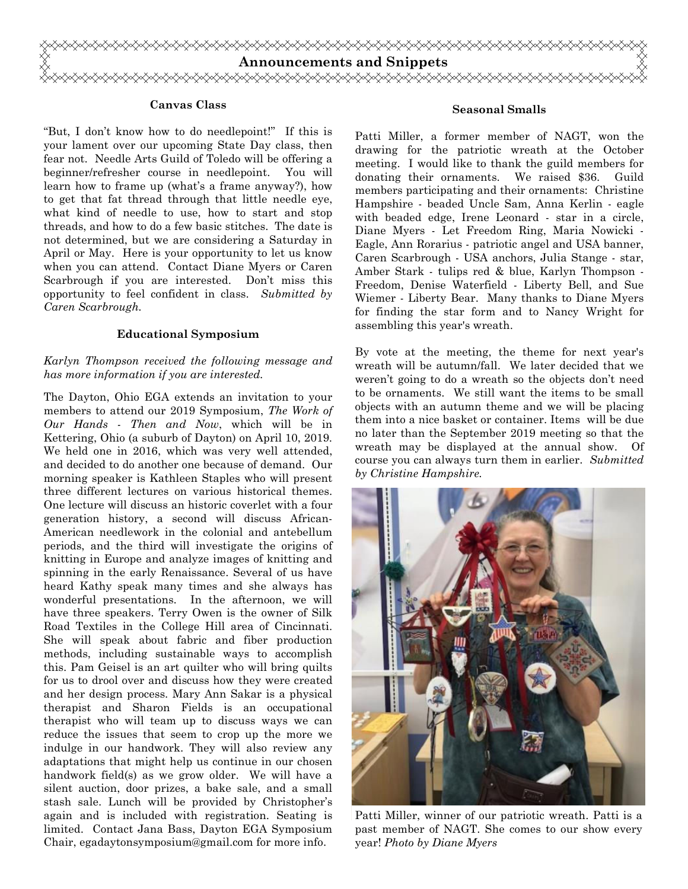

#### **Canvas Class**

"But, I don't know how to do needlepoint!" If this is your lament over our upcoming State Day class, then fear not. Needle Arts Guild of Toledo will be offering a beginner/refresher course in needlepoint. You will learn how to frame up (what's a frame anyway?), how to get that fat thread through that little needle eye, what kind of needle to use, how to start and stop threads, and how to do a few basic stitches. The date is not determined, but we are considering a Saturday in April or May. Here is your opportunity to let us know when you can attend. Contact Diane Myers or Caren Scarbrough if you are interested. Don't miss this opportunity to feel confident in class. *Submitted by Caren Scarbrough.* 

#### **Educational Symposium**

## *Karlyn Thompson received the following message and has more information if you are interested.*

The Dayton, Ohio EGA extends an invitation to your members to attend our 2019 Symposium, *The Work of Our Hands - Then and Now*, which will be in Kettering, Ohio (a suburb of Dayton) on April 10, 2019. We held one in 2016, which was very well attended, and decided to do another one because of demand. Our morning speaker is Kathleen Staples who will present three different lectures on various historical themes. One lecture will discuss an historic coverlet with a four generation history, a second will discuss African-American needlework in the colonial and antebellum periods, and the third will investigate the origins of knitting in Europe and analyze images of knitting and spinning in the early Renaissance. Several of us have heard Kathy speak many times and she always has wonderful presentations. In the afternoon, we will have three speakers. Terry Owen is the owner of Silk Road Textiles in the College Hill area of Cincinnati. She will speak about fabric and fiber production methods, including sustainable ways to accomplish this. Pam Geisel is an art quilter who will bring quilts for us to drool over and discuss how they were created and her design process. Mary Ann Sakar is a physical therapist and Sharon Fields is an occupational therapist who will team up to discuss ways we can reduce the issues that seem to crop up the more we indulge in our handwork. They will also review any adaptations that might help us continue in our chosen handwork field(s) as we grow older. We will have a silent auction, door prizes, a bake sale, and a small stash sale. Lunch will be provided by Christopher's again and is included with registration. Seating is limited. Contact Jana Bass, Dayton EGA Symposium Chair, egadaytonsymposium@gmail.com for more info.

#### **Seasonal Smalls**

Patti Miller, a former member of NAGT, won the drawing for the patriotic wreath at the October meeting. I would like to thank the guild members for donating their ornaments. We raised \$36. Guild members participating and their ornaments: Christine Hampshire - beaded Uncle Sam, Anna Kerlin - eagle with beaded edge, Irene Leonard - star in a circle, Diane Myers - Let Freedom Ring, Maria Nowicki - Eagle, Ann Rorarius - patriotic angel and USA banner, Caren Scarbrough - USA anchors, Julia Stange - star, Amber Stark - tulips red & blue, Karlyn Thompson - Freedom, Denise Waterfield - Liberty Bell, and Sue Wiemer - Liberty Bear. Many thanks to Diane Myers for finding the star form and to Nancy Wright for assembling this year's wreath.

By vote at the meeting, the theme for next year's wreath will be autumn/fall. We later decided that we weren't going to do a wreath so the objects don't need to be ornaments. We still want the items to be small objects with an autumn theme and we will be placing them into a nice basket or container. Items will be due no later than the September 2019 meeting so that the wreath may be displayed at the annual show. Of course you can always turn them in earlier. *Submitted by Christine Hampshire.*



Patti Miller, winner of our patriotic wreath. Patti is a past member of NAGT. She comes to our show every year! *Photo by Diane Myers*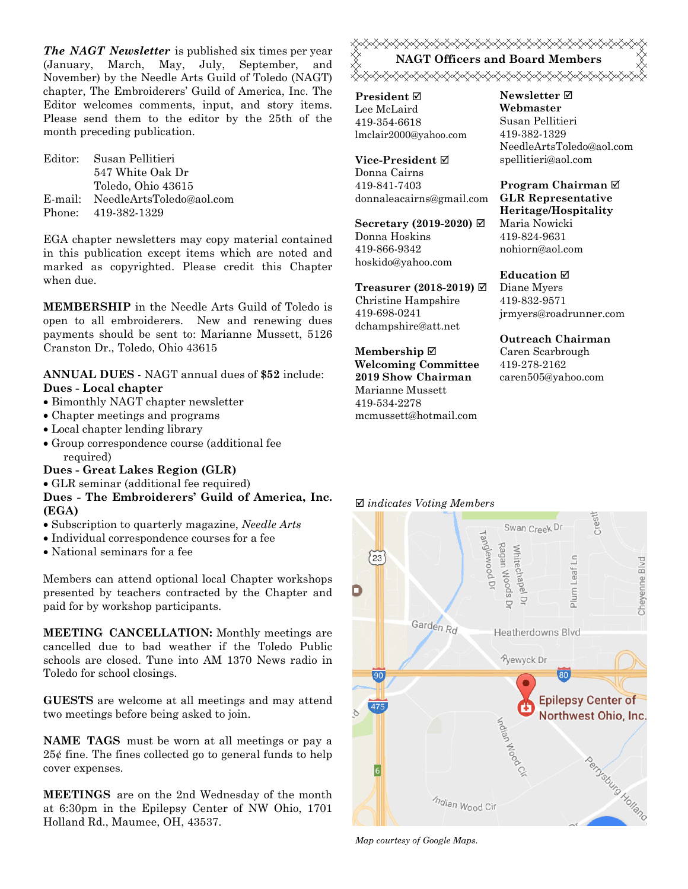*The NAGT Newsletter* is published six times per year (January, March, May, July, September, and November) by the Needle Arts Guild of Toledo (NAGT) chapter, The Embroiderers' Guild of America, Inc. The Editor welcomes comments, input, and story items. Please send them to the editor by the 25th of the month preceding publication.

Editor: Susan Pellitieri 547 White Oak Dr Toledo, Ohio 43615 E-mail: NeedleArtsToledo@aol.com Phone: 419-382-1329

EGA chapter newsletters may copy material contained in this publication except items which are noted and marked as copyrighted. Please credit this Chapter when due.

**MEMBERSHIP** in the Needle Arts Guild of Toledo is open to all embroiderers. New and renewing dues payments should be sent to: Marianne Mussett, 5126 Cranston Dr., Toledo, Ohio 43615

## **ANNUAL DUES** - NAGT annual dues of **\$52** include: **Dues - Local chapter**

- Bimonthly NAGT chapter newsletter
- Chapter meetings and programs
- Local chapter lending library
- Group correspondence course (additional fee required)

#### **Dues - Great Lakes Region (GLR)**

GLR seminar (additional fee required)

## **Dues - The Embroiderers' Guild of America, Inc. (EGA)**

- Subscription to quarterly magazine, *Needle Arts*
- Individual correspondence courses for a fee
- National seminars for a fee

Members can attend optional local Chapter workshops presented by teachers contracted by the Chapter and paid for by workshop participants.

**MEETING CANCELLATION:** Monthly meetings are cancelled due to bad weather if the Toledo Public schools are closed. Tune into AM 1370 News radio in Toledo for school closings.

**GUESTS** are welcome at all meetings and may attend two meetings before being asked to join.

**NAME TAGS** must be worn at all meetings or pay a 25¢ fine. The fines collected go to general funds to help cover expenses.

**MEETINGS** are on the 2nd Wednesday of the month at 6:30pm in the Epilepsy Center of NW Ohio, 1701 Holland Rd., Maumee, OH, 43537.

**«XXXXXXXXXXXXXXXXXXXXXXXXXX NAGT Officers and Board Members**  <sub></sub>

**President** Lee McLaird 419-354-6618 lmclair2000@yahoo.com

**Vice-President** Donna Cairns 419-841-7403 donnaleacairns@gmail.com

**Secretary (2019-2020)**  Donna Hoskins 419-866-9342 hoskido@yahoo.com

**Treasurer (2018-2019)**  Christine Hampshire 419-698-0241 dchampshire@att.net

**Membership Welcoming Committee 2019 Show Chairman**  Marianne Mussett 419-534-2278 mcmussett@hotmail.com

#### **Newsletter Webmaster**  Susan Pellitieri 419-382-1329 NeedleArtsToledo@aol.com spellitieri@aol.com

#### **Program Chairman GLR Representative Heritage/Hospitality**  Maria Nowicki 419-824-9631 nohiorn@aol.com

**Education**  Diane Myers 419-832-9571 jrmyers@roadrunner.com

**Outreach Chairman** Caren Scarbrough 419-278-2162 caren505@yahoo.com

#### *indicates Voting Members*



*Map courtesy of Google Maps.*